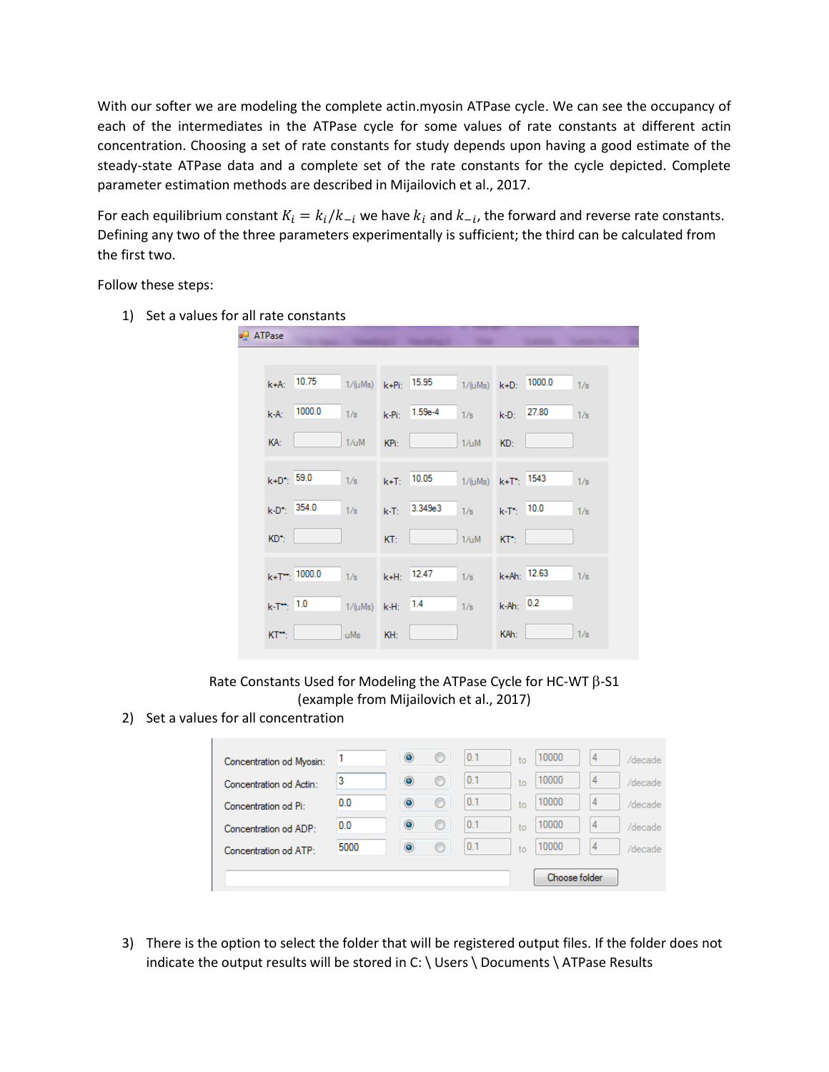With our softer we are modeling the complete actin.myosin ATPase cycle. We can see the occupancy of each of the intermediates in the ATPase cycle for some values of rate constants at different actin concentration. Choosing a set of rate constants for study depends upon having a good estimate of the steady-state ATPase data and a complete set of the rate constants for the cycle depicted. Complete parameter estimation methods are described in Mijailovich et al., 2017.

For each equilibrium constant  $K_i = k_i/k_{-i}$  we have  $k_i$  and  $k_{-i}$ , the forward and reverse rate constants. Defining any two of the three parameters experimentally is sufficient; the third can be calculated from the first two.

Follow these steps:

1) Set a values for all rate constants



Rate Constants Used for Modeling the ATPase Cycle for HC-WT  $\beta$ -S1 (example from Mijailovich et al., 2017)

2) Set a values for all concentration



3) There is the option to select the folder that will be registered output files. If the folder does not indicate the output results will be stored in C: \ Users \ Documents \ ATPase Results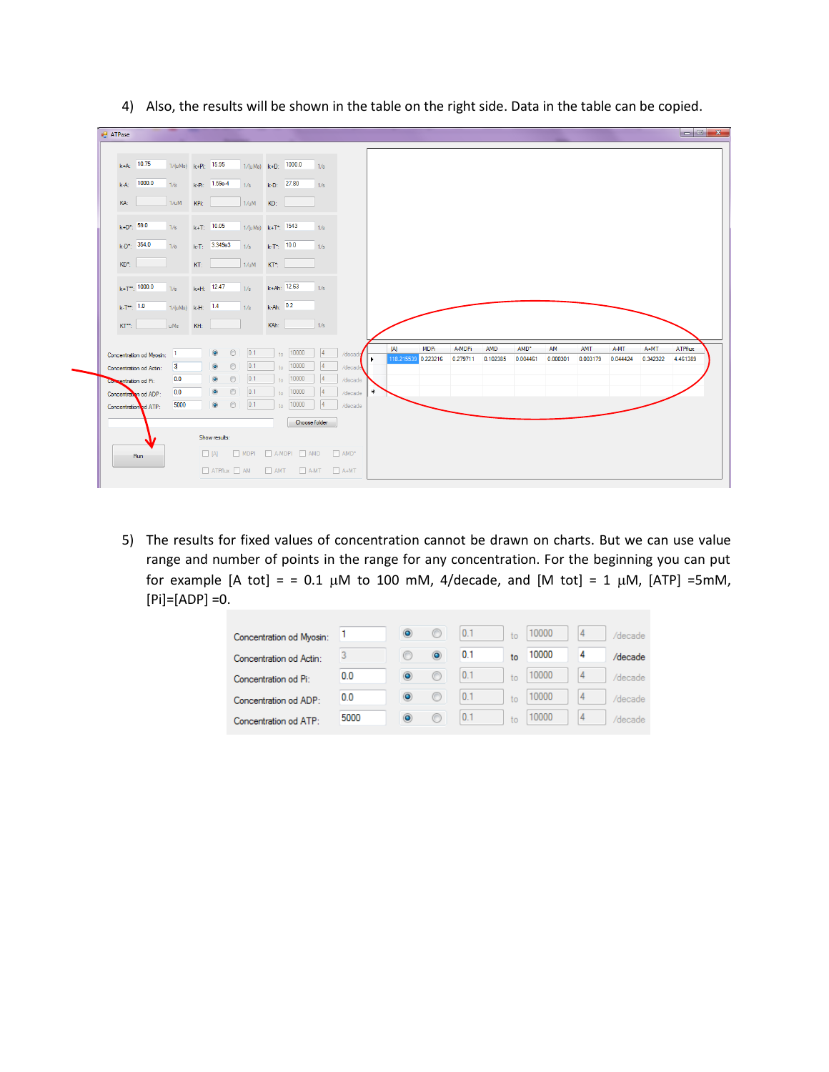| $k+A$ ; 10.75                                                                                          | $1/(uMs)$ $k+Pi$ : 15.95 |                 |                                                               | $1/(uMs)$ $k+D$ : 1000.0 |                            |                                                 | 1/s           |                         |                 |             |          |          |          |          |          |          |          |                |
|--------------------------------------------------------------------------------------------------------|--------------------------|-----------------|---------------------------------------------------------------|--------------------------|----------------------------|-------------------------------------------------|---------------|-------------------------|-----------------|-------------|----------|----------|----------|----------|----------|----------|----------|----------------|
| $k-A$ : 1000.0                                                                                         | 1/s                      |                 | $k-Pi$ : 1.59e-4                                              | 1/s                      |                            | $k-D$ : 27.80                                   | 1/s           |                         |                 |             |          |          |          |          |          |          |          |                |
| KA:                                                                                                    | 1/uM                     | KPi:            |                                                               | 1/uM KD:                 |                            |                                                 |               |                         |                 |             |          |          |          |          |          |          |          |                |
| $k+D^*$ : 59.0                                                                                         | 1/s                      | $k + T$ ; 10.05 |                                                               | $1/(uMs)$ $k+T^*$ ; 1543 |                            |                                                 | 1/s           |                         |                 |             |          |          |          |          |          |          |          |                |
| $k-D^*$ : 354.0                                                                                        | 1/s                      |                 | $k - T$ ; 3.349e3                                             | 1/s                      | $k$ -T <sup>*</sup> : 10.0 |                                                 | 1/s           |                         |                 |             |          |          |          |          |          |          |          |                |
| $KD^*$ :                                                                                               |                          | KT:             |                                                               | $1/\mu M$                | KT*:                       |                                                 |               |                         |                 |             |          |          |          |          |          |          |          |                |
| $k+T$ <sup>*</sup> : 1000.0                                                                            | 1/s                      | $k+H$ : 12.47   |                                                               | $1/s$ $k+Ah$ : 12.63     |                            |                                                 | 1/s           |                         |                 |             |          |          |          |          |          |          |          |                |
|                                                                                                        |                          |                 |                                                               |                          |                            |                                                 |               |                         |                 |             |          |          |          |          |          |          |          |                |
| $k$ -T <sup>2</sup> , 1.0                                                                              | $1/(uMs)$ k-H: $1.4$     |                 |                                                               | $1/s$ k-Ah: $0.2$        |                            |                                                 |               |                         |                 |             |          |          |          |          |          |          |          |                |
| $KT^*$ :                                                                                               | uMs                      | KH:             |                                                               |                          | KAh:                       | 1/s                                             |               |                         |                 |             |          |          |          |          |          |          |          |                |
|                                                                                                        |                          |                 |                                                               |                          |                            |                                                 | $\vert$ 4     |                         | $[{\mathsf A}]$ | <b>MDPi</b> | A-MDPi   | AMD      | AMD*     | AM       | AMT      | A-MT     | $A+MT$   | <b>ATPflux</b> |
|                                                                                                        | 3                        |                 | $\circledcirc$<br>$\circ$<br>$\circledcirc$<br>$\circledcirc$ | 0.1 <br> 0.1             |                            | $_{to}$ 10000<br>$\frac{}{\text{to}}$ 10000     | 4             | /decade<br>/decade      | 118.215539      | 0.223216    | 0.279711 | 0.102385 | 0.004461 | 0.000301 | 0.003179 | 0.044424 | 0.342322 | 4.461389       |
|                                                                                                        | 0.0                      |                 | $\circledcirc$<br>$\circ$                                     | 0.1                      |                            | $_{to}$ 10000                                   | $\vert$ 4     | /decade                 |                 |             |          |          |          |          |          |          |          |                |
| Concentration od Myosin: 1<br>Concentration od Actin:<br>Concentration od Pi:<br>Concentration od ADP: | 0.0                      |                 | $\circ$<br>$\circledcirc$                                     | 0.1                      |                            | $to$ 10000                                      | 4             | /decade                 | $*$             |             |          |          |          |          |          |          |          |                |
|                                                                                                        | 5000                     |                 | $\circledcirc$<br>$\circledcirc$                              | 0.1                      | to                         | 10000                                           | 4             | /decade                 |                 |             |          |          |          |          |          |          |          |                |
|                                                                                                        |                          |                 |                                                               |                          |                            |                                                 | Choose folder |                         |                 |             |          |          |          |          |          |          |          |                |
|                                                                                                        |                          |                 | Show results:                                                 |                          |                            |                                                 |               |                         |                 |             |          |          |          |          |          |          |          |                |
| Concentration od ATP:<br>Run                                                                           |                          |                 |                                                               |                          |                            | $\Box$ [A] $\Box$ MDPI $\Box$ A-MDPI $\Box$ AMD |               | $\Box$ AMD <sup>+</sup> |                 |             |          |          |          |          |          |          |          |                |

4) Also, the results will be shown in the table on the right side. Data in the table can be copied.

5) The results for fixed values of concentration cannot be drawn on charts. But we can use value range and number of points in the range for any concentration. For the beginning you can put for example [A tot] = = 0.1  $\mu$ M to 100 mM, 4/decade, and [M tot] = 1  $\mu$ M, [ATP] =5mM, [Pi]=[ADP] =0.